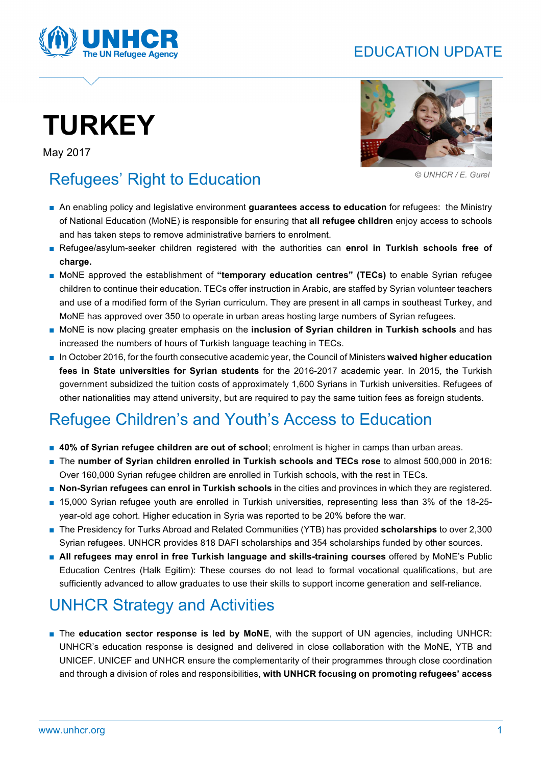## EDUCATION UPDATE



# **TURKEY**

May 2017



 *© UNHCR / E. Gurel*

# Refugees' Right to Education

- An enabling policy and legislative environment **guarantees access to education** for refugees: the Ministry of National Education (MoNE) is responsible for ensuring that **all refugee children** enjoy access to schools and has taken steps to remove administrative barriers to enrolment.
- Refugee/asylum-seeker children registered with the authorities can enrol in Turkish schools free of **charge.**
- MoNE approved the establishment of "temporary education centres" (TECs) to enable Syrian refugee children to continue their education. TECs offer instruction in Arabic, are staffed by Syrian volunteer teachers and use of a modified form of the Syrian curriculum. They are present in all camps in southeast Turkey, and MoNE has approved over 350 to operate in urban areas hosting large numbers of Syrian refugees.
- MoNE is now placing greater emphasis on the **inclusion of Syrian children in Turkish schools** and has increased the numbers of hours of Turkish language teaching in TECs.
- In October 2016, for the fourth consecutive academic year, the Council of Ministers **waived higher education fees in State universities for Syrian students** for the 2016-2017 academic year. In 2015, the Turkish government subsidized the tuition costs of approximately 1,600 Syrians in Turkish universities. Refugees of other nationalities may attend university, but are required to pay the same tuition fees as foreign students.

# Refugee Children's and Youth's Access to Education

- 40% of Syrian refugee children are out of school; enrolment is higher in camps than urban areas.
- The **number of Syrian children enrolled in Turkish schools and TECs rose** to almost 500,000 in 2016: Over 160,000 Syrian refugee children are enrolled in Turkish schools, with the rest in TECs.
- **Non-Syrian refugees can enrol in Turkish schools** in the cities and provinces in which they are registered.
- 15,000 Syrian refugee youth are enrolled in Turkish universities, representing less than 3% of the 18-25 year-old age cohort. Higher education in Syria was reported to be 20% before the war.
- The Presidency for Turks Abroad and Related Communities (YTB) has provided **scholarships** to over 2,300 Syrian refugees. UNHCR provides 818 DAFI scholarships and 354 scholarships funded by other sources.
- All refugees may enrol in free Turkish language and skills-training courses offered by MoNE's Public Education Centres (Halk Egitim): These courses do not lead to formal vocational qualifications, but are sufficiently advanced to allow graduates to use their skills to support income generation and self-reliance.

# UNHCR Strategy and Activities

■ The **education sector response is led by MoNE**, with the support of UN agencies, including UNHCR: UNHCR's education response is designed and delivered in close collaboration with the MoNE, YTB and UNICEF. UNICEF and UNHCR ensure the complementarity of their programmes through close coordination and through a division of roles and responsibilities, **with UNHCR focusing on promoting refugees' access**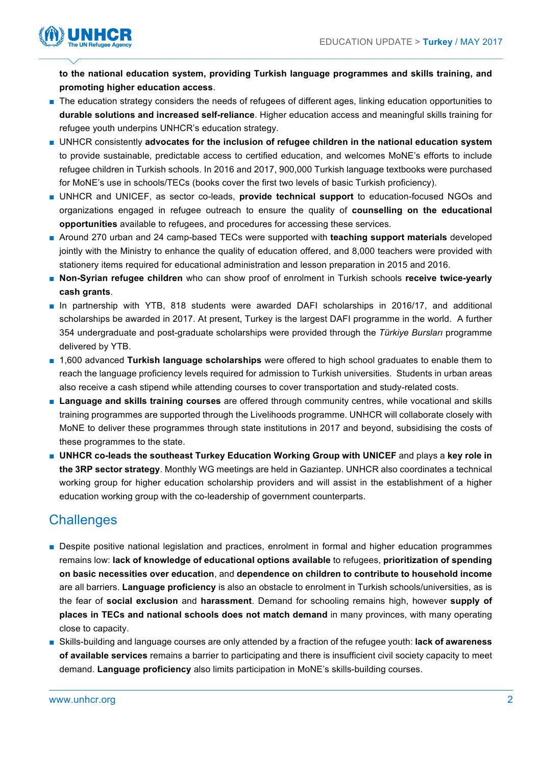

**to the national education system, providing Turkish language programmes and skills training, and promoting higher education access**.

- The education strategy considers the needs of refugees of different ages, linking education opportunities to **durable solutions and increased self-reliance**. Higher education access and meaningful skills training for refugee youth underpins UNHCR's education strategy.
- UNHCR consistently advocates for the inclusion of refugee children in the national education system to provide sustainable, predictable access to certified education, and welcomes MoNE's efforts to include refugee children in Turkish schools. In 2016 and 2017, 900,000 Turkish language textbooks were purchased for MoNE's use in schools/TECs (books cover the first two levels of basic Turkish proficiency).
- UNHCR and UNICEF, as sector co-leads, **provide technical support** to education-focused NGOs and organizations engaged in refugee outreach to ensure the quality of **counselling on the educational opportunities** available to refugees, and procedures for accessing these services.
- Around 270 urban and 24 camp-based TECs were supported with **teaching support materials** developed jointly with the Ministry to enhance the quality of education offered, and 8,000 teachers were provided with stationery items required for educational administration and lesson preparation in 2015 and 2016.
- **Non-Syrian refugee children** who can show proof of enrolment in Turkish schools receive twice-yearly **cash grants**.
- In partnership with YTB, 818 students were awarded DAFI scholarships in 2016/17, and additional scholarships be awarded in 2017. At present, Turkey is the largest DAFI programme in the world. A further 354 undergraduate and post-graduate scholarships were provided through the *Türkiye Bursları* programme delivered by YTB.
- 1,600 advanced **Turkish language scholarships** were offered to high school graduates to enable them to reach the language proficiency levels required for admission to Turkish universities. Students in urban areas also receive a cash stipend while attending courses to cover transportation and study-related costs.
- **Language and skills training courses** are offered through community centres, while vocational and skills training programmes are supported through the Livelihoods programme. UNHCR will collaborate closely with MoNE to deliver these programmes through state institutions in 2017 and beyond, subsidising the costs of these programmes to the state.
- **UNHCR co-leads the southeast Turkey Education Working Group with UNICEF** and plays a key role in **the 3RP sector strategy**. Monthly WG meetings are held in Gaziantep. UNHCR also coordinates a technical working group for higher education scholarship providers and will assist in the establishment of a higher education working group with the co-leadership of government counterparts.

## **Challenges**

- Despite positive national legislation and practices, enrolment in formal and higher education programmes remains low: **lack of knowledge of educational options available** to refugees, **prioritization of spending on basic necessities over education**, and **dependence on children to contribute to household income** are all barriers. **Language proficiency** is also an obstacle to enrolment in Turkish schools/universities, as is the fear of **social exclusion** and **harassment**. Demand for schooling remains high, however **supply of places in TECs and national schools does not match demand** in many provinces, with many operating close to capacity.
- Skills-building and language courses are only attended by a fraction of the refugee youth: **lack of awareness of available services** remains a barrier to participating and there is insufficient civil society capacity to meet demand. **Language proficiency** also limits participation in MoNE's skills-building courses.